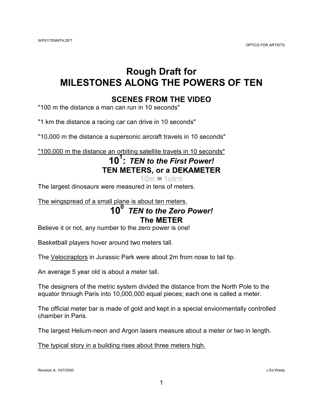### **Rough Draft for MILESTONES ALONG THE POWERS OF TEN**

#### **SCENES FROM THE VIDEO**

"100 m the distance a man can run in 10 seconds"

"1 km the distance a racing car can drive in 10 seconds"

"10,000 m the distance a supersonic aircraft travels in 10 seconds"

"100,000 m the distance an orbiting satellite travels in 10 seconds"

#### **101 :** *TEN to the First Power!* **TEN METERS, or a DEKAMETER**  $10m = 10km$

The largest dinosaurs were measured in tens of meters.

The wingspread of a small plane is about ten meters.

### **100** *TEN to the Zero Power!* **The METER**

Believe it or not, any number to the zero power is one!

Basketball players hover around two meters tall.

The Velociraptors in Jurassic Park were about 2m from nose to tail tip.

An average 5 year old is about a meter tall.

The designers of the metric system divided the distance from the North Pole to the equator through Paris into 10,000,000 equal pieces; each one is called a meter.

The official meter bar is made of gold and kept in a special envionmentally controlled chamber in Paris.

The largest Helium-neon and Argon lasers measure about a meter or two in length.

The typical story in a building rises about three meters high.

Revision A, 10/7/2000 c Ed Wesly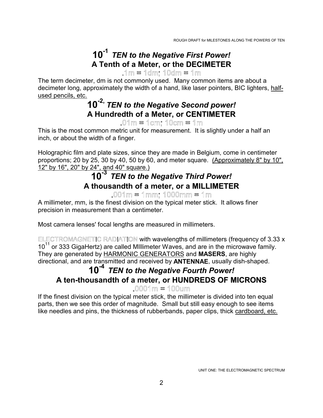### **10-1** *TEN to the Negative First Power!* **A Tenth of a Meter, or the DECIMETER**

 $.1m = 1dm$ :  $10dm = 1m$ 

The term decimeter, dm is not commonly used. Many common items are about a decimeter long, approximately the width of a hand, like laser pointers, BIC lighters, halfused pencils, etc.

# **10-2,** *TEN to the Negative Second power!* **A Hundredth of a Meter, or CENTIMETER**<br> **O**1m = 1cm; 10cm = 1m

This is the most common metric unit for measurement. It is slightly under a half an inch, or about the width of a finger.

Holographic film and plate sizes, since they are made in Belgium, come in centimeter proportions; 20 by 25, 30 by 40, 50 by 60, and meter square. (Approximately 8" by 10", 12" by 16", 20" by 24", and 40" square.)

## **10-3** *TEN to the Negative Third Power!* **A thousandth of a meter, or a MILLIMETER**

 $.001m = 1mm$ ; 1000mm = 1m

A millimeter, mm, is the finest division on the typical meter stick. It allows finer precision in measurement than a centimeter.

Most camera lenses' focal lengths are measured in millimeters.

ELECTROMAGNETIC RADIATION with wavelengths of millimeters (frequency of 3.33 x 10<sup>11</sup> or 333 GigaHertz) are called Millimeter Waves, and are in the microwave family. They are generated by HARMONIC GENERATORS and **MASERS**, are highly directional, and are transmitted and received by **ANTENNAE**, usually dish-shaped.

#### **10-4** *TEN to the Negative Fourth Power!* **A ten-thousandth of a meter, or HUNDREDS OF MICRONS**  $.0001$  m = 100 um

If the finest division on the typical meter stick, the millimeter is divided into ten equal parts, then we see this order of magnitude. Small but still easy enough to see items like needles and pins, the thickness of rubberbands, paper clips, thick cardboard, etc.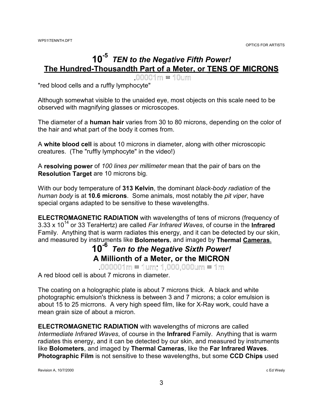### **10-5** *TEN to the Negative Fifth Power!* **The Hundred-Thousandth Part of a Meter, or TENS OF MICRONS**

 $.00001$  m = 10 um

"red blood cells and a ruffly lymphocyte"

Although somewhat visible to the unaided eye, most objects on this scale need to be observed with magnifying glasses or microscopes.

The diameter of a **human hair** varies from 30 to 80 microns, depending on the color of the hair and what part of the body it comes from.

A **white blood cell** is about 10 microns in diameter, along with other microscopic creatures. (The "ruffly lymphocyte" in the video!)

A **resolving power** of *100 lines per millimeter* mean that the pair of bars on the **Resolution Target** are 10 microns big.

With our body temperature of **313 Kelvin**, the dominant *black-body radiation* of the *human body* is at **10.6 microns**. Some animals, most notably the *pit viper*, have special organs adapted to be sensitive to these wavelengths.

**ELECTROMAGNETIC RADIATION** with wavelengths of tens of microns (frequency of 3.33 x 1014 or 33 TeraHertz) are called *Far Infrared Waves*, of course in the **Infrared** Family. Anything that is warm radiates this energy, and it can be detected by our skin, and measured by instruments like **Bolometers**, and imaged by **Thermal Cameras**.

# **10-6** *Ten to the Negative Sixth Power!* **A Millionth of a Meter, or the MICRON**

 $.000001$ m = 1um; 1.000.000um = 1m

A red blood cell is about 7 microns in diameter.

The coating on a holographic plate is about 7 microns thick. A black and white photographic emulsion's thickness is between 3 and 7 microns; a color emulsion is about 15 to 25 micrrons. A very high speed film, like for X-Ray work, could have a mean grain size of about a micron.

**ELECTROMAGNETIC RADIATION** with wavelengths of microns are called *Intermediate Infrared Waves*, of course in the **Infrared** Family. Anything that is warm radiates this energy, and it can be detected by our skin, and measured by instruments like **Bolometers**, and imaged by **Thermal Cameras**, like the **Far Infrared Waves**. **Photographic Film** is not sensitive to these wavelengths, but some **CCD Chips** used